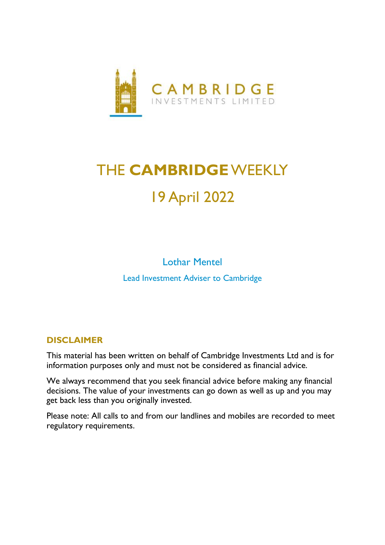

# THE **CAMBRIDGE**WEEKLY 19 April 2022

Lothar Mentel Lead Investment Adviser to Cambridge

## **DISCLAIMER**

This material has been written on behalf of Cambridge Investments Ltd and is for information purposes only and must not be considered as financial advice.

We always recommend that you seek financial advice before making any financial decisions. The value of your investments can go down as well as up and you may get back less than you originally invested.

Please note: All calls to and from our landlines and mobiles are recorded to meet regulatory requirements.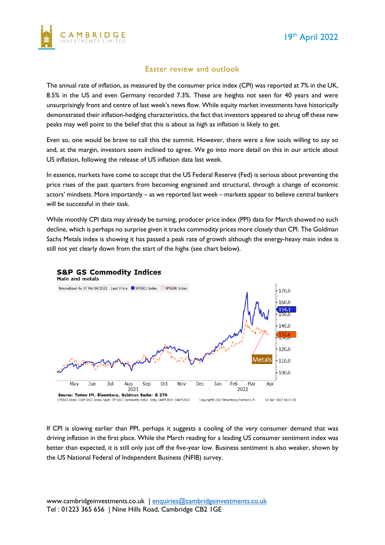

#### Easter review and outlook

The annual rate of inflation, as measured by the consumer price index (CPI) was reported at 7% in the UK, 8.5% in the US and even Germany recorded 7.3%. These are heights not seen for 40 years and were unsurprisingly front and centre of last week's news flow. While equity market investments have historically demonstrated their inflation-hedging characteristics, the fact that investors appeared to shrug off these new peaks may well point to the belief that this is about as high as inflation is likely to get.

Even so, one would be brave to call this the summit. However, there were a few souls willing to say so and, at the margin, investors seem inclined to agree. We go into more detail on this in our article about US inflation, following the release of US inflation data last week.

In essence, markets have come to accept that the US Federal Reserve (Fed) is serious about preventing the price rises of the past quarters from becoming engrained and structural, through a change of economic actors' mindsets. More importantly – as we reported last week – markets appear to believe central bankers will be successful in their task.

While monthly CPI data may already be turning, producer price index (PPI) data for March showed no such decline, which is perhaps no surprise given it tracks commodity prices more closely than CPI. The Goldman Sachs Metals index is showing it has passed a peak rate of growth although the energy-heavy main index is still not yet clearly down from the start of the highs (see chart below).



If CPI is slowing earlier than PPI, perhaps it suggests a cooling of the very consumer demand that was driving inflation in the first place. While the March reading for a leading US consumer sentiment index was better than expected, it is still only just off the five-year low. Business sentiment is also weaker, shown by the US National Federal of Independent Business (NFIB) survey.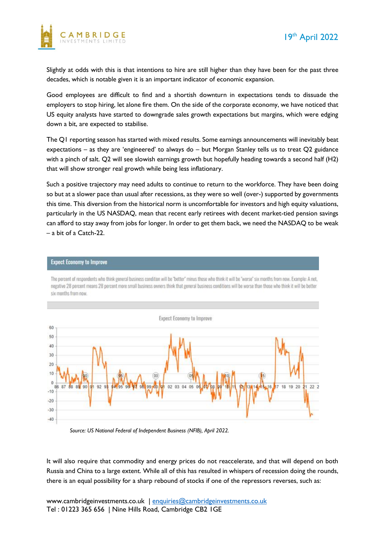

Slightly at odds with this is that intentions to hire are still higher than they have been for the past three decades, which is notable given it is an important indicator of economic expansion.

Good employees are difficult to find and a shortish downturn in expectations tends to dissuade the employers to stop hiring, let alone fire them. On the side of the corporate economy, we have noticed that US equity analysts have started to downgrade sales growth expectations but margins, which were edging down a bit, are expected to stabilise.

The Q1 reporting season has started with mixed results. Some earnings announcements will inevitably beat expectations – as they are 'engineered' to always do – but Morgan Stanley tells us to treat Q2 guidance with a pinch of salt. Q2 will see slowish earnings growth but hopefully heading towards a second half (H2) that will show stronger real growth while being less inflationary.

Such a positive trajectory may need adults to continue to return to the workforce. They have been doing so but at a slower pace than usual after recessions, as they were so well (over-) supported by governments this time. This diversion from the historical norm is uncomfortable for investors and high equity valuations, particularly in the US NASDAQ, mean that recent early retirees with decent market-tied pension savings can afford to stay away from jobs for longer. In order to get them back, we need the NASDAQ to be weak – a bit of a Catch-22.

#### **Expect Economy to Improve**

The percent of respondents who think general business condition will be "better" minus those who think it will be "worse" six months from now. Example: A net, negative 28 percent means 28 percent more small business owners think that general business conditions will be worse than those who think it will be better six months from now.



#### *Source: US National Federal of Independent Business (NFIB), April 2022.*

It will also require that commodity and energy prices do not reaccelerate, and that will depend on both Russia and China to a large extent. While all of this has resulted in whispers of recession doing the rounds, there is an equal possibility for a sharp rebound of stocks if one of the repressors reverses, such as: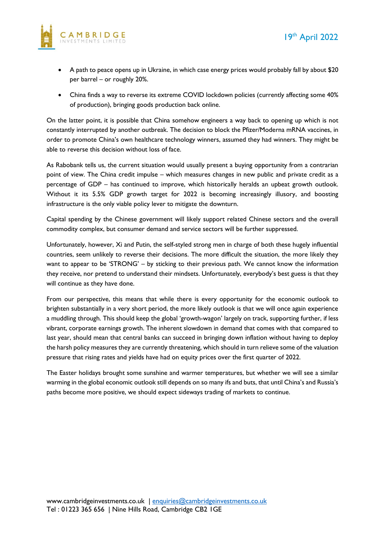



- A path to peace opens up in Ukraine, in which case energy prices would probably fall by about \$20 per barrel – or roughly 20%.
- China finds a way to reverse its extreme COVID lockdown policies (currently affecting some 40% of production), bringing goods production back online.

On the latter point, it is possible that China somehow engineers a way back to opening up which is not constantly interrupted by another outbreak. The decision to block the Pfizer/Moderna mRNA vaccines, in order to promote China's own healthcare technology winners, assumed they had winners. They might be able to reverse this decision without loss of face.

As Rabobank tells us, the current situation would usually present a buying opportunity from a contrarian point of view. The China credit impulse – which measures changes in new public and private credit as a percentage of GDP – has continued to improve, which historically heralds an upbeat growth outlook. Without it its 5.5% GDP growth target for 2022 is becoming increasingly illusory, and boosting infrastructure is the only viable policy lever to mitigate the downturn.

Capital spending by the Chinese government will likely support related Chinese sectors and the overall commodity complex, but consumer demand and service sectors will be further suppressed.

Unfortunately, however, Xi and Putin, the self-styled strong men in charge of both these hugely influential countries, seem unlikely to reverse their decisions. The more difficult the situation, the more likely they want to appear to be 'STRONG' – by sticking to their previous path. We cannot know the information they receive, nor pretend to understand their mindsets. Unfortunately, everybody's best guess is that they will continue as they have done.

From our perspective, this means that while there is every opportunity for the economic outlook to brighten substantially in a very short period, the more likely outlook is that we will once again experience a muddling through. This should keep the global 'growth-wagon' largely on track, supporting further, if less vibrant, corporate earnings growth. The inherent slowdown in demand that comes with that compared to last year, should mean that central banks can succeed in bringing down inflation without having to deploy the harsh policy measures they are currently threatening, which should in turn relieve some of the valuation pressure that rising rates and yields have had on equity prices over the first quarter of 2022.

The Easter holidays brought some sunshine and warmer temperatures, but whether we will see a similar warming in the global economic outlook still depends on so many ifs and buts, that until China's and Russia's paths become more positive, we should expect sideways trading of markets to continue.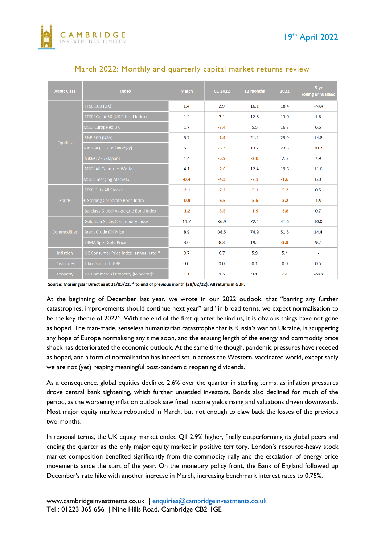

| <b>Asset Class</b> | <b>Index</b>                           | <b>March</b> | Q1 2022 | 12 months | 2021   | $5-yr$<br>rolling annualised |
|--------------------|----------------------------------------|--------------|---------|-----------|--------|------------------------------|
| <b>Equities</b>    | <b>FTSE 100 (UK)</b>                   | 1.4          | 2.9     | 16.1      | 18.4   | $-N/A$                       |
|                    | FTSE4Good 50 (UK Ethical Index)        | 1.2          | 3.1     | 12.8      | 13.0   | 1.6                          |
|                    | MSCI Europe ex-UK                      | 1.7          | $-7.4$  | 5.5       | 16.7   | 6.6                          |
|                    | <b>S&amp;P 500 (USA)</b>               | 5.7          | $-1.9$  | 21.2      | 29.9   | 14.8                         |
|                    | NASDAQ (US Technology)                 | 5.5          | $-6.3$  | 13.2      | 23.3   | 20.3                         |
|                    | Nikkei 225 (Japan)                     | 1.4          | $-3.9$  | $-2.0$    | 2.6    | 7.9                          |
|                    | <b>MSCI All Countries World</b>        | 4.1          | $-2.6$  | 12.4      | 19.6   | 11.6                         |
|                    | <b>MSCI Emerging Markets</b>           | $-0.4$       | $-4.3$  | $-7.1$    | $-1.6$ | 6.0                          |
| <b>Bonds</b>       | <b>FTSE Gilts All Stocks</b>           | $-2.1$       | $-7.2$  | $-5.1$    | $-5.2$ | 0.5                          |
|                    | £-Sterling Corporate Bond Index        | $-0.9$       | $-6.6$  | $-5.5$    | $-3.2$ | 1.9                          |
|                    | Barclays Global Aggregate Bond Index   | $-1.2$       | $-3.5$  | $-1.9$    | $-3.8$ | 0.7                          |
| Commodities        | <b>Goldman Sachs Commodity Index</b>   | 11.7         | 36.9    | 72.4      | 41.6   | 10.0                         |
|                    | <b>Brent Crude Oil Price</b>           | 8.9          | 38.5    | 74.9      | 51.5   | 14.4                         |
|                    | <b>LBMA Spot Gold Price</b>            | 3.0          | 8.3     | 19.2      | $-2.9$ | 9.2                          |
| <b>Inflation</b>   | UK Consumer Price Index (annual rate)* | 0.7          | 0.7     | 5.9       | 5.4    | $\sim$                       |
| Cash rates         | Libor 3 month GBP                      | 0.0          | 0.0     | 0.1       | 0.0    | 0.5                          |
| Property           | UK Commercial Property (IA Sector)*    | 1.1          | 1.5     | 9.1       | 7.4    | $-N/A$                       |

#### March 2022: Monthly and quarterly capital market returns review

Source: Morningstar Direct as at 31/03/22. \* to end of previous month (28/02/22). All returns in GBP.

At the beginning of December last year, we wrote in our 2022 outlook, that "barring any further catastrophes, improvements should continue next year" and "in broad terms, we expect normalisation to be the key theme of 2022". With the end of the first quarter behind us, it is obvious things have not gone as hoped. The man-made, senseless humanitarian catastrophe that is Russia's war on Ukraine, is scuppering any hope of Europe normalising any time soon, and the ensuing length of the energy and commodity price shock has deteriorated the economic outlook. At the same time though, pandemic pressures have receded as hoped, and a form of normalisation has indeed set in across the Western, vaccinated world, except sadly we are not (yet) reaping meaningful post-pandemic reopening dividends.

As a consequence, global equities declined 2.6% over the quarter in sterling terms, as inflation pressures drove central bank tightening, which further unsettled investors. Bonds also declined for much of the period, as the worsening inflation outlook saw fixed income yields rising and valuations driven downwards. Most major equity markets rebounded in March, but not enough to claw back the losses of the previous two months.

In regional terms, the UK equity market ended Q1 2.9% higher, finally outperforming its global peers and ending the quarter as the only major equity market in positive territory. London's resource-heavy stock market composition benefited significantly from the commodity rally and the escalation of energy price movements since the start of the year. On the monetary policy front, the Bank of England followed up December's rate hike with another increase in March, increasing benchmark interest rates to 0.75%.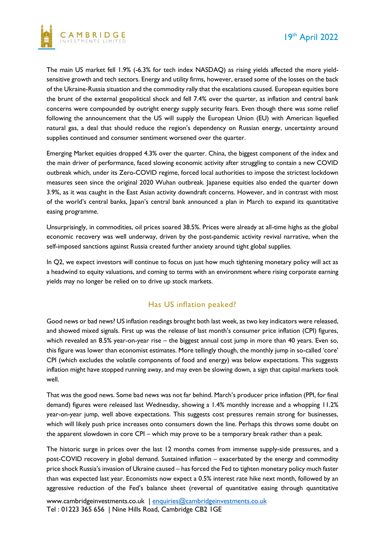

The main US market fell 1.9% (-6.3% for tech index NASDAQ) as rising yields affected the more yieldsensitive growth and tech sectors. Energy and utility firms, however, erased some of the losses on the back of the Ukraine-Russia situation and the commodity rally that the escalations caused. European equities bore the brunt of the external geopolitical shock and fell 7.4% over the quarter, as inflation and central bank concerns were compounded by outright energy supply security fears. Even though there was some relief following the announcement that the US will supply the European Union (EU) with American liquefied natural gas, a deal that should reduce the region's dependency on Russian energy, uncertainty around supplies continued and consumer sentiment worsened over the quarter.

Emerging Market equities dropped 4.3% over the quarter. China, the biggest component of the index and the main driver of performance, faced slowing economic activity after struggling to contain a new COVID outbreak which, under its Zero-COVID regime, forced local authorities to impose the strictest lockdown measures seen since the original 2020 Wuhan outbreak. Japanese equities also ended the quarter down 3.9%, as it was caught in the East Asian activity downdraft concerns. However, and in contrast with most of the world's central banks, Japan's central bank announced a plan in March to expand its quantitative easing programme.

Unsurprisingly, in commodities, oil prices soared 38.5%. Prices were already at all-time highs as the global economic recovery was well underway, driven by the post-pandemic activity revival narrative, when the self-imposed sanctions against Russia created further anxiety around tight global supplies.

In Q2, we expect investors will continue to focus on just how much tightening monetary policy will act as a headwind to equity valuations, and coming to terms with an environment where rising corporate earning yields may no longer be relied on to drive up stock markets.

### Has US inflation peaked?

Good news or bad news? US inflation readings brought both last week, as two key indicators were released, and showed mixed signals. First up was the release of last month's consumer price inflation (CPI) figures, which revealed an 8.5% year-on-year rise – the biggest annual cost jump in more than 40 years. Even so, this figure was lower than economist estimates. More tellingly though, the monthly jump in so-called 'core' CPI (which excludes the volatile components of food and energy) was below expectations. This suggests inflation might have stopped running away, and may even be slowing down, a sign that capital markets took well.

That was the good news. Some bad news was not far behind. March's producer price inflation (PPI, for final demand) figures were released last Wednesday, showing a 1.4% monthly increase and a whopping 11.2% year-on-year jump, well above expectations. This suggests cost pressures remain strong for businesses, which will likely push price increases onto consumers down the line. Perhaps this throws some doubt on the apparent slowdown in core CPI – which may prove to be a temporary break rather than a peak.

The historic surge in prices over the last 12 months comes from immense supply-side pressures, and a post-COVID recovery in global demand. Sustained inflation – exacerbated by the energy and commodity price shock Russia's invasion of Ukraine caused – has forced the Fed to tighten monetary policy much faster than was expected last year. Economists now expect a 0.5% interest rate hike next month, followed by an aggressive reduction of the Fed's balance sheet (reversal of quantitative easing through quantitative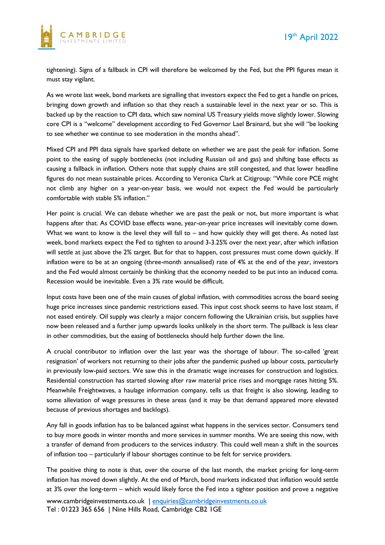

tightening). Signs of a fallback in CPI will therefore be welcomed by the Fed, but the PPI figures mean it must stay vigilant.

As we wrote last week, bond markets are signalling that investors expect the Fed to get a handle on prices, bringing down growth and inflation so that they reach a sustainable level in the next year or so. This is backed up by the reaction to CPI data, which saw nominal US Treasury yields move slightly lower. Slowing core CPI is a "welcome" development according to Fed Governor Lael Brainard, but she will "be looking to see whether we continue to see moderation in the months ahead".

Mixed CPI and PPI data signals have sparked debate on whether we are past the peak for inflation. Some point to the easing of supply bottlenecks (not including Russian oil and gas) and shifting base effects as causing a fallback in inflation. Others note that supply chains are still congested, and that lower headline figures do not mean sustainable prices. According to Veronica Clark at Citigroup: "While core PCE might not climb any higher on a year-on-year basis, we would not expect the Fed would be particularly comfortable with stable 5% inflation."

Her point is crucial. We can debate whether we are past the peak or not, but more important is what happens after that. As COVID base effects wane, year-on-year price increases will inevitably come down. What we want to know is the level they will fall to – and how quickly they will get there. As noted last week, bond markets expect the Fed to tighten to around 3-3.25% over the next year, after which inflation will settle at just above the 2% target. But for that to happen, cost pressures must come down quickly. If inflation were to be at an ongoing (three-month annualised) rate of 4% at the end of the year, investors and the Fed would almost certainly be thinking that the economy needed to be put into an induced coma. Recession would be inevitable. Even a 3% rate would be difficult.

Input costs have been one of the main causes of global inflation, with commodities across the board seeing huge price increases since pandemic restrictions eased. This input cost shock seems to have lost steam, if not eased entirely. Oil supply was clearly a major concern following the Ukrainian crisis, but supplies have now been released and a further jump upwards looks unlikely in the short term. The pullback is less clear in other commodities, but the easing of bottlenecks should help further down the line.

A crucial contributor to inflation over the last year was the shortage of labour. The so-called 'great resignation' of workers not returning to their jobs after the pandemic pushed up labour costs, particularly in previously low-paid sectors. We saw this in the dramatic wage increases for construction and logistics. Residential construction has started slowing after raw material price rises and mortgage rates hitting 5%. Meanwhile Freightwaves, a haulage information company, tells us that freight is also slowing, leading to some alleviation of wage pressures in these areas (and it may be that demand appeared more elevated because of previous shortages and backlogs).

Any fall in goods inflation has to be balanced against what happens in the services sector. Consumers tend to buy more goods in winter months and more services in summer months. We are seeing this now, with a transfer of demand from producers to the services industry. This could well mean a shift in the sources of inflation too – particularly if labour shortages continue to be felt for service providers.

The positive thing to note is that, over the course of the last month, the market pricing for long-term inflation has moved down slightly. At the end of March, bond markets indicated that inflation would settle at 3% over the long-term – which would likely force the Fed into a tighter position and prove a negative

www.cambridgeinvestments.co.uk | [enquiries@cambridgeinvestments.co.uk](mailto:enquiries@cambridgeinvestments.co.uk) Tel : 01223 365 656 | Nine Hills Road, Cambridge CB2 1GE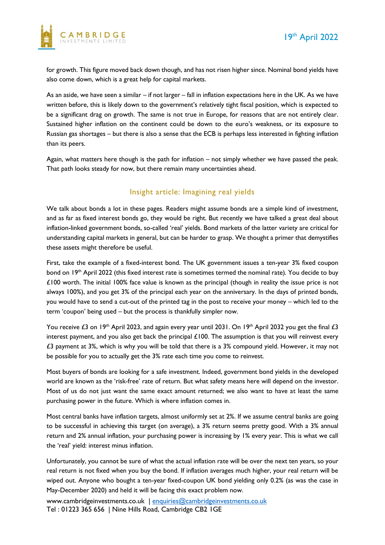

for growth. This figure moved back down though, and has not risen higher since. Nominal bond yields have also come down, which is a great help for capital markets.

As an aside, we have seen a similar – if not larger – fall in inflation expectations here in the UK. As we have written before, this is likely down to the government's relatively tight fiscal position, which is expected to be a significant drag on growth. The same is not true in Europe, for reasons that are not entirely clear. Sustained higher inflation on the continent could be down to the euro's weakness, or its exposure to Russian gas shortages – but there is also a sense that the ECB is perhaps less interested in fighting inflation than its peers.

Again, what matters here though is the path for inflation – not simply whether we have passed the peak. That path looks steady for now, but there remain many uncertainties ahead.

#### Insight article: Imagining real yields

We talk about bonds a lot in these pages. Readers might assume bonds are a simple kind of investment, and as far as fixed interest bonds go, they would be right. But recently we have talked a great deal about inflation-linked government bonds, so-called 'real' yields. Bond markets of the latter variety are critical for understanding capital markets in general, but can be harder to grasp. We thought a primer that demystifies these assets might therefore be useful.

First, take the example of a fixed-interest bond. The UK government issues a ten-year 3% fixed coupon bond on 19<sup>th</sup> April 2022 (this fixed interest rate is sometimes termed the nominal rate). You decide to buy £100 worth. The initial 100% face value is known as the principal (though in reality the issue price is not always 100%), and you get 3% of the principal each year on the anniversary. In the days of printed bonds, you would have to send a cut-out of the printed tag in the post to receive your money – which led to the term 'coupon' being used – but the process is thankfully simpler now.

You receive £3 on 19<sup>th</sup> April 2023, and again every year until 2031. On 19<sup>th</sup> April 2032 you get the final £3 interest payment, and you also get back the principal  $£100$ . The assumption is that you will reinvest every £3 payment at 3%, which is why you will be told that there is a 3% compound yield. However, it may not be possible for you to actually get the 3% rate each time you come to reinvest.

Most buyers of bonds are looking for a safe investment. Indeed, government bond yields in the developed world are known as the 'risk-free' rate of return. But what safety means here will depend on the investor. Most of us do not just want the same exact amount returned; we also want to have at least the same purchasing power in the future. Which is where inflation comes in.

Most central banks have inflation targets, almost uniformly set at 2%. If we assume central banks are going to be successful in achieving this target (on average), a 3% return seems pretty good. With a 3% annual return and 2% annual inflation, your purchasing power is increasing by 1% every year. This is what we call the 'real' yield: interest minus inflation.

Unfortunately, you cannot be sure of what the actual inflation rate will be over the next ten years, so your real return is not fixed when you buy the bond. If inflation averages much higher, your real return will be wiped out. Anyone who bought a ten-year fixed-coupon UK bond yielding only 0.2% (as was the case in May-December 2020) and held it will be facing this exact problem now.

www.cambridgeinvestments.co.uk | [enquiries@cambridgeinvestments.co.uk](mailto:enquiries@cambridgeinvestments.co.uk) Tel : 01223 365 656 | Nine Hills Road, Cambridge CB2 1GE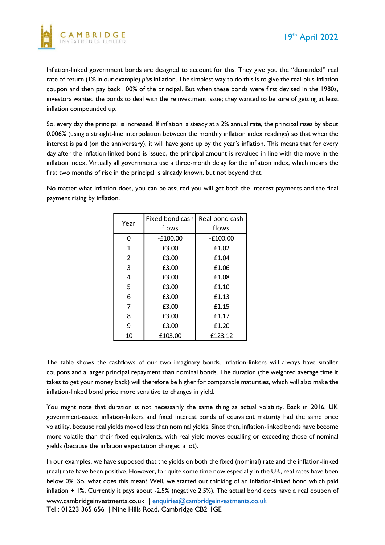

Inflation-linked government bonds are designed to account for this. They give you the "demanded" real rate of return (1% in our example) *plus* inflation. The simplest way to do this is to give the real-plus-inflation coupon and then pay back 100% of the principal. But when these bonds were first devised in the 1980s, investors wanted the bonds to deal with the reinvestment issue; they wanted to be sure of getting at least inflation compounded up.

So, every day the principal is increased. If inflation is steady at a 2% annual rate, the principal rises by about 0.006% (using a straight-line interpolation between the monthly inflation index readings) so that when the interest is paid (on the anniversary), it will have gone up by the year's inflation. This means that for every day after the inflation-linked bond is issued, the principal amount is revalued in line with the move in the inflation index. Virtually all governments use a three-month delay for the inflation index, which means the first two months of rise in the principal is already known, but not beyond that.

No matter what inflation does, you can be assured you will get both the interest payments and the final payment rising by inflation.

| Year | Fixed bond cash Real bond cash |            |  |  |  |
|------|--------------------------------|------------|--|--|--|
|      | flows                          | flows      |  |  |  |
| O    | $-£100.00$                     | $-£100.00$ |  |  |  |
| 1    | £3.00                          | £1.02      |  |  |  |
| 2    | £3.00                          | £1.04      |  |  |  |
| 3    | £3.00                          | £1.06      |  |  |  |
| 4    | £3.00                          | £1.08      |  |  |  |
| 5    | £3.00                          | £1.10      |  |  |  |
| 6    | £3.00                          | £1.13      |  |  |  |
| 7    | £3.00                          | £1.15      |  |  |  |
| 8    | £3.00                          | £1.17      |  |  |  |
| 9    | £3.00                          | £1.20      |  |  |  |
| 10   | £103.00                        | £123.12    |  |  |  |

The table shows the cashflows of our two imaginary bonds. Inflation-linkers will always have smaller coupons and a larger principal repayment than nominal bonds. The duration (the weighted average time it takes to get your money back) will therefore be higher for comparable maturities, which will also make the inflation-linked bond price more sensitive to changes in yield.

You might note that duration is not necessarily the same thing as actual volatility. Back in 2016, UK government-issued inflation-linkers and fixed interest bonds of equivalent maturity had the same price volatility, because real yields moved less than nominal yields. Since then, inflation-linked bonds have become more volatile than their fixed equivalents, with real yield moves equalling or exceeding those of nominal yields (because the inflation expectation changed a lot).

www.cambridgeinvestments.co.uk | [enquiries@cambridgeinvestments.co.uk](mailto:enquiries@cambridgeinvestments.co.uk) Tel : 01223 365 656 | Nine Hills Road, Cambridge CB2 1GE In our examples, we have supposed that the yields on both the fixed (nominal) rate and the inflation-linked (real) rate have been positive. However, for quite some time now especially in the UK, real rates have been below 0%. So, what does this mean? Well, we started out thinking of an inflation-linked bond which paid inflation + 1%. Currently it pays about -2.5% (negative 2.5%). The actual bond does have a real coupon of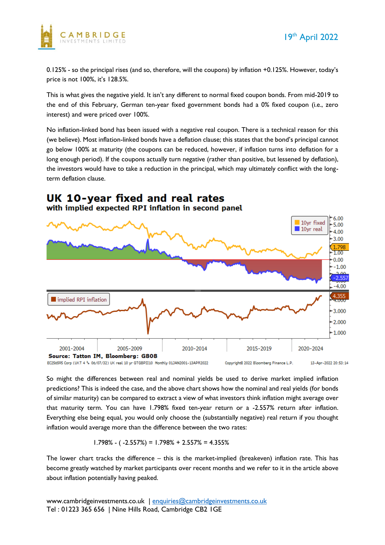

0.125% - so the principal rises (and so, therefore, will the coupons) by inflation +0.125%. However, today's price is not 100%, it's 128.5%.

This is what gives the negative yield. It isn't any different to normal fixed coupon bonds. From mid-2019 to the end of this February, German ten-year fixed government bonds had a 0% fixed coupon (i.e., zero interest) and were priced over 100%.

No inflation-linked bond has been issued with a negative real coupon. There is a technical reason for this (we believe). Most inflation-linked bonds have a deflation clause; this states that the bond's principal cannot go below 100% at maturity (the coupons can be reduced, however, if inflation turns into deflation for a long enough period). If the coupons actually turn negative (rather than positive, but lessened by deflation), the investors would have to take a reduction in the principal, which may ultimately conflict with the longterm deflation clause.

#### $6.00$ 10yr fixed  $5.00$ 10yr real  $4.00$  $3.00$  $1.00$  $0.00$  $-1.00$  $-4.00$ 4.35 implied RPI inflation  $-3,000$  $-2.000$  $-1.000$ 2001-2004 2005-2009 2010-2014 2015-2019 2020-2024 Source: Tatton IM, Bloomberg: G808 EC256595 Corp (UKT 4 34 06/07/32) UK real 10 yr GTGBPII10 Monthly 01JAN2001-13APR2022 Copyright<sup>®</sup> 2022 Bloomberg Finance L.P. 13-Apr-2022 20:53:14

UK 10-year fixed and real rates with implied expected RPI inflation in second panel

So might the differences between real and nominal yields be used to derive market implied inflation predictions? This is indeed the case, and the above chart shows how the nominal and real yields (for bonds of similar maturity) can be compared to extract a view of what investors think inflation might average over that maturity term. You can have 1.798% fixed ten-year return or a -2.557% return after inflation. Everything else being equal, you would only choose the (substantially negative) real return if you thought inflation would average more than the difference between the two rates:

$$
1.798\% - (-2.557\%) = 1.798\% + 2.557\% = 4.355\%
$$

The lower chart tracks the difference – this is the market-implied (breakeven) inflation rate. This has become greatly watched by market participants over recent months and we refer to it in the article above about inflation potentially having peaked.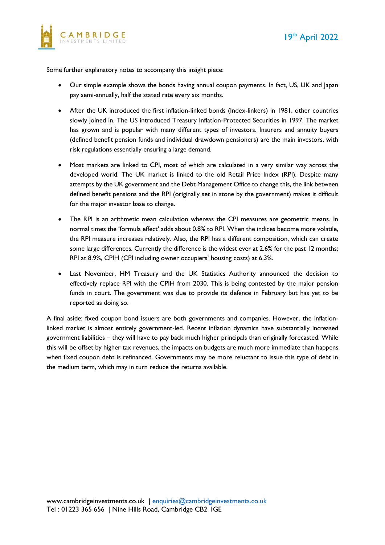



Some further explanatory notes to accompany this insight piece:

- Our simple example shows the bonds having annual coupon payments. In fact, US, UK and Japan pay semi-annually, half the stated rate every six months.
- After the UK introduced the first inflation-linked bonds (Index-linkers) in 1981, other countries slowly joined in. The US introduced Treasury Inflation-Protected Securities in 1997. The market has grown and is popular with many different types of investors. Insurers and annuity buyers (defined benefit pension funds and individual drawdown pensioners) are the main investors, with risk regulations essentially ensuring a large demand.
- Most markets are linked to CPI, most of which are calculated in a very similar way across the developed world. The UK market is linked to the old Retail Price Index (RPI). Despite many attempts by the UK government and the Debt Management Office to change this, the link between defined benefit pensions and the RPI (originally set in stone by the government) makes it difficult for the major investor base to change.
- The RPI is an arithmetic mean calculation whereas the CPI measures are geometric means. In normal times the 'formula effect' adds about 0.8% to RPI. When the indices become more volatile, the RPI measure increases relatively. Also, the RPI has a different composition, which can create some large differences. Currently the difference is the widest ever at 2.6% for the past 12 months; RPI at 8.9%, CPIH (CPI including owner occupiers' housing costs) at 6.3%.
- Last November, HM Treasury and the UK Statistics Authority announced the decision to effectively replace RPI with the CPIH from 2030. This is being contested by the major pension funds in court. The government was due to provide its defence in February but has yet to be reported as doing so.

A final aside: fixed coupon bond issuers are both governments and companies. However, the inflationlinked market is almost entirely government-led. Recent inflation dynamics have substantially increased government liabilities – they will have to pay back much higher principals than originally forecasted. While this will be offset by higher tax revenues, the impacts on budgets are much more immediate than happens when fixed coupon debt is refinanced. Governments may be more reluctant to issue this type of debt in the medium term, which may in turn reduce the returns available.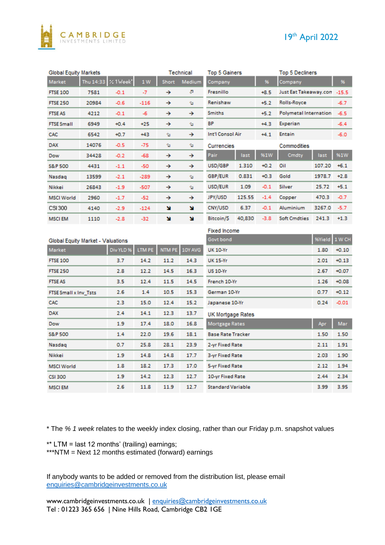



| <b>Global Equity Markets</b><br>Technical |       |                     |        |              | <b>Top 5 Gainers</b> |                                   |        | <b>Top 5 Decliners</b> |                     |         |             |
|-------------------------------------------|-------|---------------------|--------|--------------|----------------------|-----------------------------------|--------|------------------------|---------------------|---------|-------------|
| Market                                    |       | Thu 14:33 X 1 Week' | 1W     | <b>Short</b> | Medium               | 96<br>Company                     |        |                        | Company             |         | 96          |
| <b>FTSE 100</b>                           | 7581  | $-0.1$              | -7     | →            | ₽                    | Fresnillo<br>$+8.5$               |        | Just Eat Takeaway.com  |                     | $-15.5$ |             |
| <b>FTSE 250</b>                           | 20984 | $-0.6$              | $-116$ | →            | ⇘                    | Renishaw<br>$+5.2$                |        | Rolls-Royce            |                     | $-6.7$  |             |
| <b>FTSE AS</b>                            | 4212  | $-0.1$              | -6     | →            | →                    | <b>Smiths</b><br>$+5.2$           |        | Polymetal Internation: |                     | $-6.5$  |             |
| <b>FTSE Small</b>                         | 6949  | $+0.4$              | $+25$  | →            | ⇘                    | BP<br>$+4.3$                      |        |                        | Experian            |         | $-6.4$      |
| CAC                                       | 6542  | $+0.7$              | $+43$  | ø            | →                    | <b>Int'l Consol Air</b><br>$+4.1$ |        | Entain                 |                     | -6.0    |             |
| <b>DAX</b>                                | 14076 | $-0.5$              | -75    | ø            | ø                    | Currencies                        |        | Commodities            |                     |         |             |
| Dow                                       | 34428 | $-0.2$              | -68    | →            | →                    | Pair                              | last   | <b>961W</b>            | Cmdty               | last    | <b>961W</b> |
| <b>S&amp;P 500</b>                        | 4431  | $-1.1$              | -50    | →            | →                    | USD/GBP                           | 1.310  | $+0.2$                 | Oil                 | 107.20  | $+6.1$      |
| Nasdag                                    | 13599 | $-2.1$              | -289   | →            | ø                    | GBP/EUR                           | 0.831  | $+0.3$                 | Gold                | 1978.7  | $+2.8$      |
| Nikkei                                    | 26843 | $-1.9$              | -507   | →            | ø                    | USD/EUR                           | 1.09   | -0.1                   | Silver              | 25.72   | $+5.1$      |
| <b>MSCI World</b>                         | 2960  | $-1.7$              | -52    | →            | →                    | JPY/USD                           | 125.55 | $-1.4$                 | Copper              | 470.3   | $-0.7$      |
| CSI 300                                   | 4140  | -2.9                | $-124$ | u            | N                    | CNY/USD                           | 6.37   | $-0.1$                 | Aluminium           | 3267.0  | $-5.7$      |
| <b>MSCI EM</b>                            | 1110  | $-2.8$              | -32    | u            | N                    | Bitcoin/S                         | 40,830 | $-3.8$                 | <b>Soft Cmdties</b> | 241.3   | $+1.3$      |
|                                           |       |                     |        |              |                      | <b>Fixed Income</b>               |        |                        |                     |         |             |
| Global Equity Market - Valuations         |       |                     |        |              | Govt bond            |                                   |        |                        | %Yield              | 1 W CH  |             |
| Market                                    |       | Div YLD %           | LTM PE | NTM PE       | 10Y AVG              | <b>UK 10-Yr</b>                   |        |                        |                     | 1.80    | $+0.10$     |
| <b>FTSE 100</b>                           |       | 3.7                 | 14.2   | 11.2         | 14.3                 | <b>UK 15-Yr</b>                   |        |                        |                     | 2.01    | $+0.13$     |
| <b>FTSE 250</b>                           |       | 2.8                 | 12.2   | 14.5         | 16.3                 | <b>US 10-Yr</b>                   |        |                        |                     | 2.67    | $+0.07$     |
| <b>FTSE AS</b>                            |       | 3.5                 | 12.4   | 11.5         | 14.5                 | French 10-Yr                      |        |                        |                     | 1.26    | $+0.08$     |
| FTSE Small x Inv_Tsts                     |       | 2.6                 | 1.4    | 10.5         | 15.3                 | German 10-Yr                      |        |                        |                     | 0.77    | $+0.12$     |
| CAC                                       |       | 2.3                 | 15.0   | 12.4         | 15.2                 | Japanese 10-Yr                    | 0.24   | $-0.01$                |                     |         |             |
| <b>DAX</b>                                |       | 2.4                 | 14.1   | 12.3         | 13.7                 | <b>UK Mortgage Rates</b>          |        |                        |                     |         |             |
| Dow                                       |       | 1.9                 | 17.4   | 18.0         | 16.8                 | <b>Mortgage Rates</b>             |        |                        |                     |         | Mar         |
| <b>S&amp;P 500</b>                        |       | 1.4                 | 22.0   | 19.6         | 18.1                 | <b>Base Rate Tracker</b>          |        |                        |                     |         | 1.50        |
| Nasdag                                    |       | 0.7                 | 25.8   | 28.1         | 23.9                 | 2-yr Fixed Rate                   |        |                        |                     |         | 1.91        |
| Nikkei                                    |       | 1.9                 | 14.8   | 14.8         | 17.7                 | 3-yr Fixed Rate                   |        |                        |                     | 2.03    | 1.90        |
| <b>MSCI World</b>                         |       | 1.8                 | 18.2   | 17.3         | 17.0                 | 5-yr Fixed Rate                   |        |                        |                     | 2.12    | 1.94        |
| CSI 300                                   |       | 1.9                 | 14.2   | 12.3         | 12.7                 | 10-yr Fixed Rate                  |        |                        |                     | 2.44    | 2.34        |
| <b>MSCI EM</b>                            |       |                     |        |              |                      |                                   |        |                        |                     |         |             |

\* The *% 1 week* relates to the weekly index closing, rather than our Friday p.m. snapshot values

\*\* LTM = last 12 months' (trailing) earnings;

\*\*\*NTM = Next 12 months estimated (forward) earnings

If anybody wants to be added or removed from the distribution list, please email [enquiries@cambridgeinvestments.co.uk](mailto:enquiries@cambridgeinvestments.co.uk)

www.cambridgeinvestments.co.uk | [enquiries@cambridgeinvestments.co.uk](mailto:enquiries@cambridgeinvestments.co.uk) Tel : 01223 365 656 | Nine Hills Road, Cambridge CB2 1GE